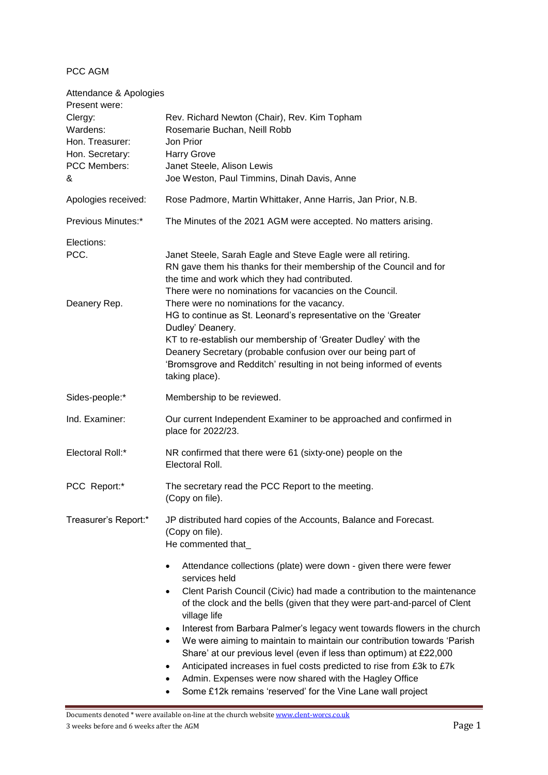PCC AGM

| Attendance & Apologies<br>Present were:                                        |                                                                                                                                                                                                                                                                                                                                                                                                                                                                                                                                                                                                                                                                |
|--------------------------------------------------------------------------------|----------------------------------------------------------------------------------------------------------------------------------------------------------------------------------------------------------------------------------------------------------------------------------------------------------------------------------------------------------------------------------------------------------------------------------------------------------------------------------------------------------------------------------------------------------------------------------------------------------------------------------------------------------------|
| Clergy:<br>Wardens:<br>Hon. Treasurer:<br>Hon. Secretary:<br>PCC Members:<br>& | Rev. Richard Newton (Chair), Rev. Kim Topham<br>Rosemarie Buchan, Neill Robb<br>Jon Prior<br><b>Harry Grove</b><br>Janet Steele, Alison Lewis<br>Joe Weston, Paul Timmins, Dinah Davis, Anne                                                                                                                                                                                                                                                                                                                                                                                                                                                                   |
| Apologies received:                                                            | Rose Padmore, Martin Whittaker, Anne Harris, Jan Prior, N.B.                                                                                                                                                                                                                                                                                                                                                                                                                                                                                                                                                                                                   |
| Previous Minutes:*                                                             | The Minutes of the 2021 AGM were accepted. No matters arising.                                                                                                                                                                                                                                                                                                                                                                                                                                                                                                                                                                                                 |
| Elections:<br>PCC.<br>Deanery Rep.                                             | Janet Steele, Sarah Eagle and Steve Eagle were all retiring.<br>RN gave them his thanks for their membership of the Council and for<br>the time and work which they had contributed.<br>There were no nominations for vacancies on the Council.<br>There were no nominations for the vacancy.<br>HG to continue as St. Leonard's representative on the 'Greater<br>Dudley' Deanery.<br>KT to re-establish our membership of 'Greater Dudley' with the<br>Deanery Secretary (probable confusion over our being part of<br>'Bromsgrove and Redditch' resulting in not being informed of events<br>taking place).                                                 |
| Sides-people:*                                                                 | Membership to be reviewed.                                                                                                                                                                                                                                                                                                                                                                                                                                                                                                                                                                                                                                     |
| Ind. Examiner:                                                                 | Our current Independent Examiner to be approached and confirmed in<br>place for 2022/23.                                                                                                                                                                                                                                                                                                                                                                                                                                                                                                                                                                       |
| Electoral Roll:*                                                               | NR confirmed that there were 61 (sixty-one) people on the<br>Electoral Roll.                                                                                                                                                                                                                                                                                                                                                                                                                                                                                                                                                                                   |
| PCC Report:*                                                                   | The secretary read the PCC Report to the meeting.<br>(Copy on file).                                                                                                                                                                                                                                                                                                                                                                                                                                                                                                                                                                                           |
| Treasurer's Report:*                                                           | JP distributed hard copies of the Accounts, Balance and Forecast.<br>(Copy on file).<br>He commented that_<br>Attendance collections (plate) were down - given there were fewer<br>$\bullet$                                                                                                                                                                                                                                                                                                                                                                                                                                                                   |
|                                                                                | services held<br>Clent Parish Council (Civic) had made a contribution to the maintenance<br>$\bullet$<br>of the clock and the bells (given that they were part-and-parcel of Clent<br>village life<br>Interest from Barbara Palmer's legacy went towards flowers in the church<br>٠<br>We were aiming to maintain to maintain our contribution towards 'Parish<br>Share' at our previous level (even if less than optimum) at £22,000<br>Anticipated increases in fuel costs predicted to rise from £3k to £7k<br>٠<br>Admin. Expenses were now shared with the Hagley Office<br>٠<br>Some £12k remains 'reserved' for the Vine Lane wall project<br>$\bullet$ |